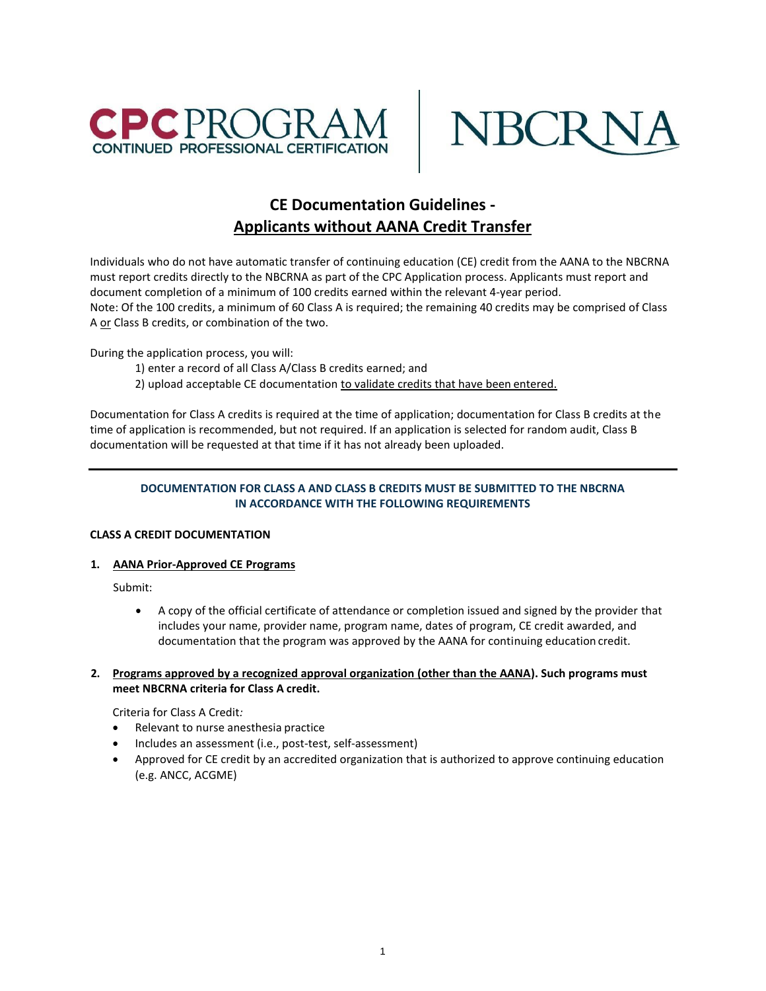



# **CE Documentation Guidelines - Applicants without AANA Credit Transfer**

Individuals who do not have automatic transfer of continuing education (CE) credit from the AANA to the NBCRNA must report credits directly to the NBCRNA as part of the CPC Application process. Applicants must report and document completion of a minimum of 100 credits earned within the relevant 4-year period. Note: Of the 100 credits, a minimum of 60 Class A is required; the remaining 40 credits may be comprised of Class A or Class B credits, or combination of the two.

During the application process, you will:

- 1) enter a record of all Class A/Class B credits earned; and
- 2) upload acceptable CE documentation to validate credits that have been entered.

Documentation for Class A credits is required at the time of application; documentation for Class B credits at the time of application is recommended, but not required. If an application is selected for random audit, Class B documentation will be requested at that time if it has not already been uploaded.

# **DOCUMENTATION FOR CLASS A AND CLASS B CREDITS MUST BE SUBMITTED TO THE NBCRNA IN ACCORDANCE WITH THE FOLLOWING REQUIREMENTS**

# **CLASS A CREDIT DOCUMENTATION**

# **1. AANA Prior-Approved CE Programs**

Submit:

• A copy of the official certificate of attendance or completion issued and signed by the provider that includes your name, provider name, program name, dates of program, CE credit awarded, and documentation that the program was approved by the AANA for continuing education credit.

#### **2. Programs approved by a recognized approval organization (other than the AANA). Such programs must meet NBCRNA criteria for Class A credit.**

Criteria for Class A Credit*:*

- Relevant to nurse anesthesia practice
- Includes an assessment (i.e., post-test, self-assessment)
- Approved for CE credit by an accredited organization that is authorized to approve continuing education (e.g. ANCC, ACGME)